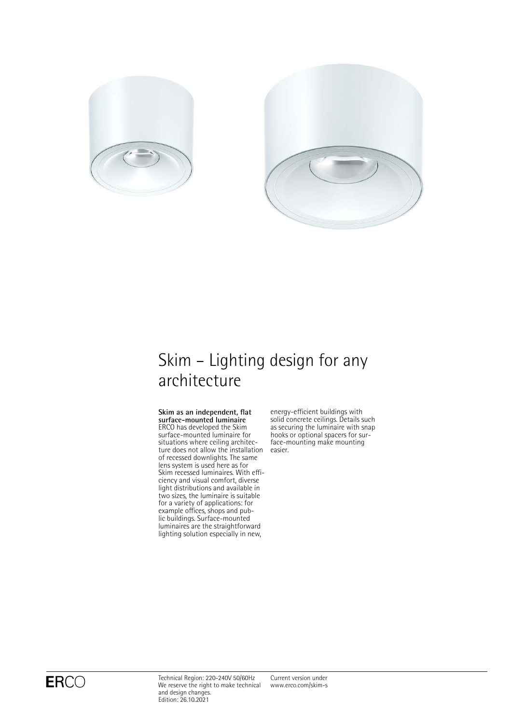



# Skim – Lighting design for any architecture

**Skim as an independent, flat surface-mounted luminaire** ERCO has developed the Skim surface-mounted luminaire for situations where ceiling architecture does not allow the installation of recessed downlights. The same lens system is used here as for Skim recessed luminaires. With efficiency and visual comfort, diverse light distributions and available in two sizes, the luminaire is suitable for a variety of applications: for example offices, shops and public buildings. Surface-mounted luminaires are the straightforward lighting solution especially in new,

energy-efficient buildings with solid concrete ceilings. Details such as securing the luminaire with snap hooks or optional spacers for surface-mounting make mounting easier.

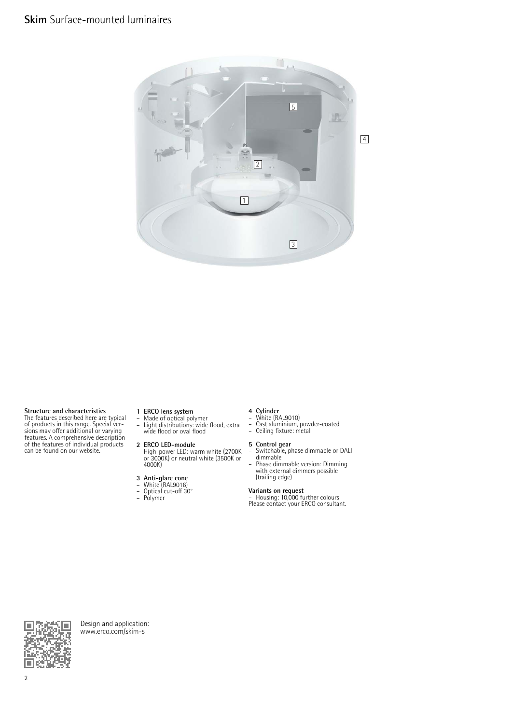

**Structure and characteristics** The features described here are typical of products in this range. Special ver-sions may offer additional or varying features. A comprehensive description of the features of individual products can be found on our website.

- 
- **1 ERCO lens system** Made of optical polymer Light distributions: wide flood, extra wide flood or oval flood

- **2 ERCO LED-module** High-power LED: warm white (2700K or 3000K) or neutral white (3500K or 4000K)
- **3 Anti-glare cone** White (RAL9016)
- 
- Optical cut-off 30° Polymer
- 

- **4 Cylinder** White (RAL9010)
- Cast aluminium, powder-coated Ceiling fixture: metal
- 
- **5 Control gear** Switchable, phase dimmable or DALI
- dimmable Phase dimmable version: Dimming with external dimmers possible

# (trailing edge)

**Variants on request**<br>– Housing: 10,000 further colours<br>Please contact your ERCO consultant.



Design and application: [www.erco.com/skim-s](http://www.erco.com/skim-s)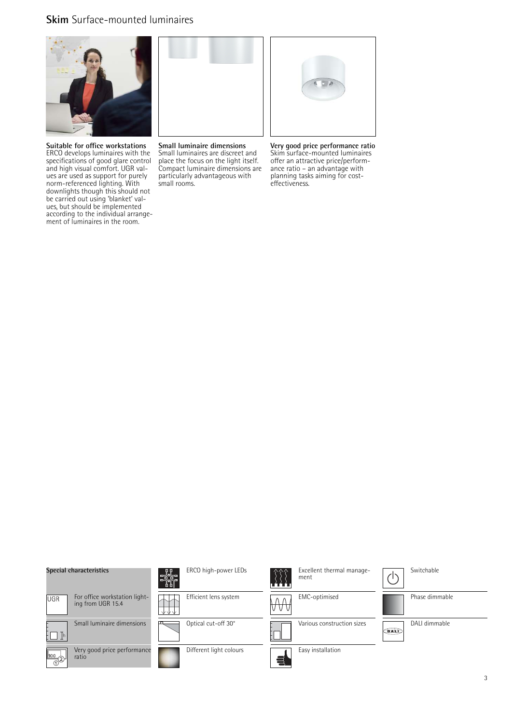## **Skim** Surface-mounted luminaires



**Suitable for office workstations** ERCO develops luminaires with the specifications of good glare control and high visual comfort. UGR values are used as support for purely norm-referenced lighting. With downlights though this should not be carried out using 'blanket' values, but should be implemented according to the individual arrangement of luminaires in the room.



**Small luminaire dimensions** Small luminaires are discreet and place the focus on the light itself. Compact luminaire dimensions are particularly advantageous with small rooms.



**Very good price performance ratio** Skim surface-mounted luminaires offer an attractive price/performance ratio – an advantage with planning tasks aiming for costeffectiveness.

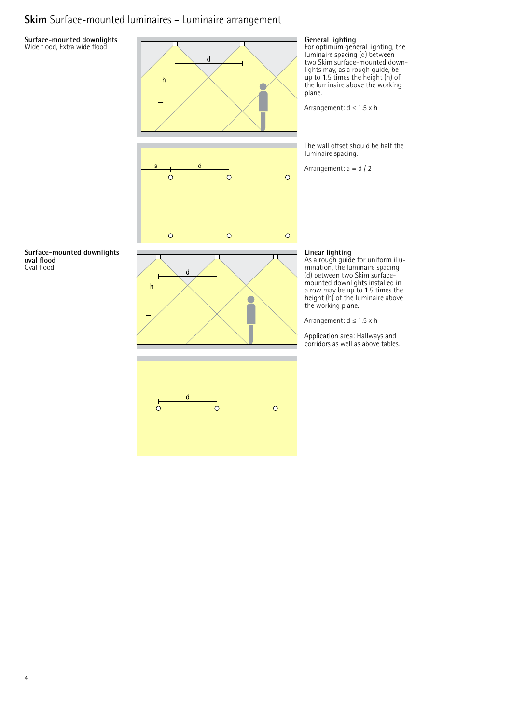## **Skim** Surface-mounted luminaires – Luminaire arrangement

### **Surface-mounted downlights** Wide flood, Extra wide flood









### **General lighting**

For optimum general lighting, the luminaire spacing (d) between two Skim surface-mounted downlights may, as a rough guide, be up to 1.5 times the height (h) of the luminaire above the working plane.

Arrangement: d ≤ 1.5 x h

The wall offset should be half the luminaire spacing.

Arrangement: a = d / 2

### **Linear lighting**

As a rough guide for uniform illumination, the luminaire spacing (d) between two Skim surfacemounted downlights installed in a row may be up to 1.5 times the height (h) of the luminaire above the working plane.

Arrangement: d ≤ 1.5 x h

Application area: Hallways and corridors as well as above tables.



4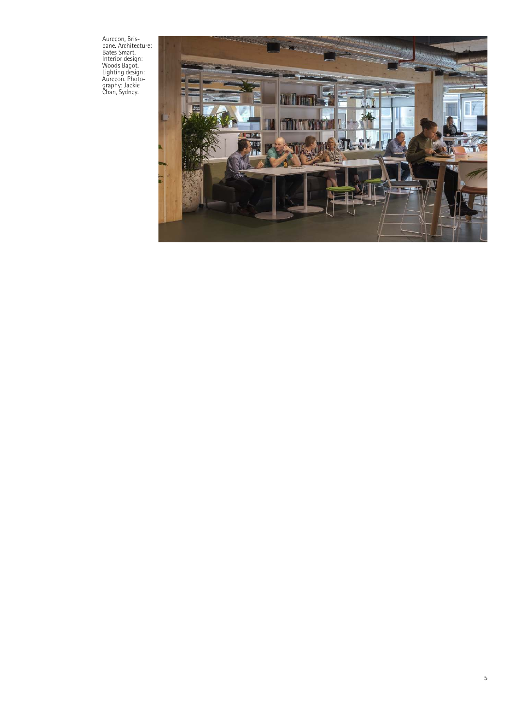Aurecon, Bris-bane. Architecture: Bates Smart. Interior design: Woods Bagot. Lighting design: Aurecon. Photo-graphy: Jackie Chan, Sydney.

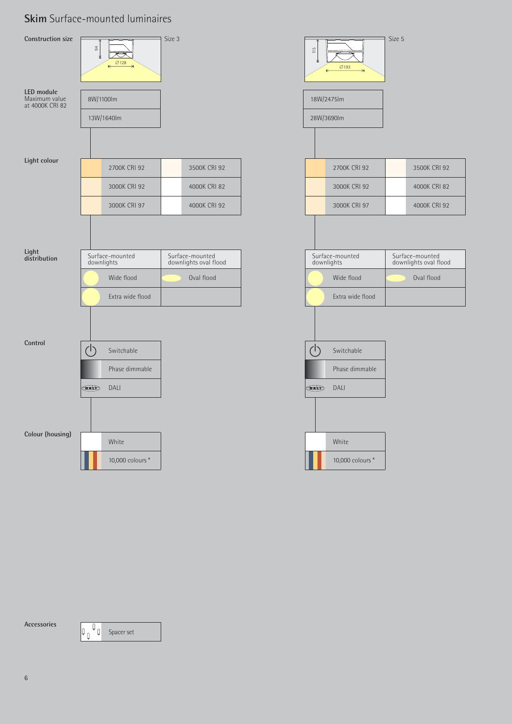# **Skim** Surface-mounted luminaires



**Accessories**

 $\begin{array}{|c|c|} \hline \mathbf{Q} & \mathbf{S} \text{pace set} \end{array}$  $|\mathfrak{o}_{\mathfrak{g}}|$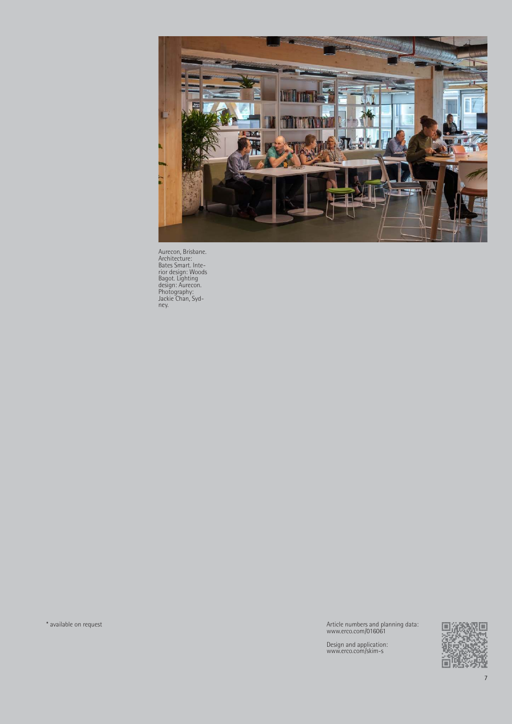

Aurecon, Brisbane. Architecture: Bates Smart. Inte-rior design: Woods Bagot. Lighting design: Aurecon. Photography: Jackie Chan, Syd-ney.

\* available on request Article numbers and planning data: www.erco.com/016061

Design and application: www.erco.com/skim-s